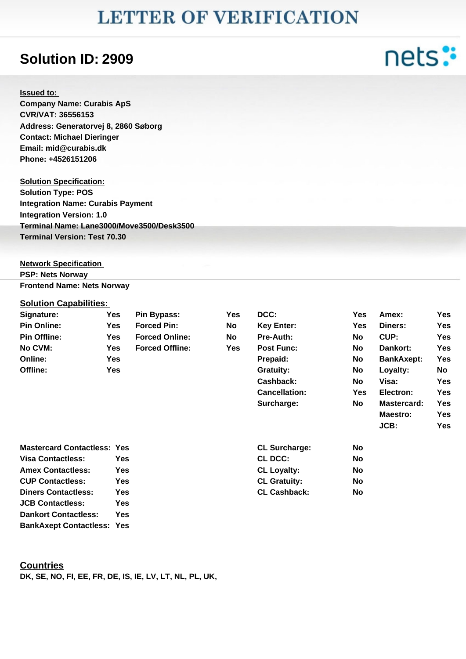## **LETTER OF VERIFICATION**

### **Solution ID: 2909**

#### **Issued to:**

**Company Name: Curabis ApS CVR/VAT: 36556153 Address: Generatorvej 8, 2860 Søborg Contact: Michael Dieringer Email: mid@curabis.dk Phone: +4526151206**

**Solution Specification: Solution Type: POS Integration Name: Curabis Payment Integration Version: 1.0 Terminal Name: Lane3000/Move3500/Desk3500 Terminal Version: Test 70.30**

**Network Specification PSP: Nets Norway Frontend Name: Nets Norway**

#### **Solution Capabilities:**

| Signature:                         | Yes        | <b>Pin Bypass:</b>     | <b>Yes</b> | DCC:                 | <b>Yes</b> | Amex:             | Yes        |
|------------------------------------|------------|------------------------|------------|----------------------|------------|-------------------|------------|
| <b>Pin Online:</b>                 | <b>Yes</b> | <b>Forced Pin:</b>     | No         | <b>Key Enter:</b>    | <b>Yes</b> | Diners:           | Yes        |
| <b>Pin Offline:</b>                | Yes.       | <b>Forced Online:</b>  | <b>No</b>  | <b>Pre-Auth:</b>     | <b>No</b>  | CUP:              | Yes.       |
| No CVM:                            | <b>Yes</b> | <b>Forced Offline:</b> | <b>Yes</b> | <b>Post Func:</b>    | No         | Dankort:          | <b>Yes</b> |
| Online:                            | Yes        |                        |            | Prepaid:             | No         | <b>BankAxept:</b> | Yes        |
| Offline:                           | <b>Yes</b> |                        |            | <b>Gratuity:</b>     | No         | Loyalty:          | No         |
|                                    |            |                        |            | Cashback:            | <b>No</b>  | Visa:             | Yes.       |
|                                    |            |                        |            | <b>Cancellation:</b> | <b>Yes</b> | Electron:         | Yes        |
|                                    |            |                        |            | Surcharge:           | No         | Mastercard:       | Yes        |
|                                    |            |                        |            |                      |            | Maestro:          | Yes.       |
|                                    |            |                        |            |                      |            | JCB:              | Yes.       |
| <b>Mastercard Contactless: Yes</b> |            |                        |            | <b>CL Surcharge:</b> | <b>No</b>  |                   |            |
| <b>Visa Contactless:</b><br>Yes.   |            |                        |            | <b>CL DCC:</b>       | No         |                   |            |
| <b>Amex Contactless:</b><br>Yes    |            |                        |            | <b>CL Loyalty:</b>   | <b>No</b>  |                   |            |
| <b>CUP Contactless:</b>            | <b>Yes</b> |                        |            | <b>CL Gratuity:</b>  | <b>No</b>  |                   |            |
| <b>Diners Contactless:</b>         | <b>Yes</b> |                        |            | <b>CL Cashback:</b>  | <b>No</b>  |                   |            |
| <b>JCB Contactless:</b>            | Yes        |                        |            |                      |            |                   |            |
| <b>Dankort Contactless:</b>        | Yes.       |                        |            |                      |            |                   |            |
| <b>BankAxept Contactless: Yes</b>  |            |                        |            |                      |            |                   |            |

#### **Countries**

**DK, SE, NO, FI, EE, FR, DE, IS, IE, LV, LT, NL, PL, UK,** 

# nets: